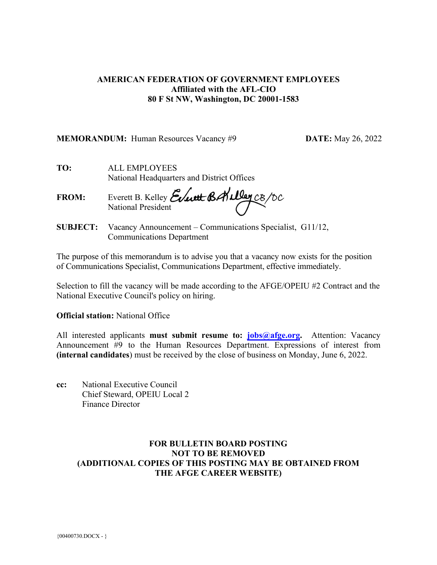## **AMERICAN FEDERATION OF GOVERNMENT EMPLOYEES Affiliated with the AFL-CIO 80 F St NW, Washington, DC 20001-1583**

#### **MEMORANDUM:** Human Resources Vacancy #9 **DATE:** May 26, 2022

**TO:** ALL EMPLOYEES National Headquarters and District Offices

**FROM:** Everett B. Kelley National President

**SUBJECT:** Vacancy Announcement – Communications Specialist, G11/12, Communications Department

The purpose of this memorandum is to advise you that a vacancy now exists for the position of Communications Specialist, Communications Department, effective immediately.

Selection to fill the vacancy will be made according to the AFGE/OPEIU #2 Contract and the National Executive Council's policy on hiring.

**Official station:** National Office

All interested applicants **must submit resume to[: jobs@afge.org.](mailto:jobs@afge.org)** Attention: Vacancy Announcement #9 to the Human Resources Department. Expressions of interest from **(internal candidates**) must be received by the close of business on Monday, June 6, 2022.

**cc:** National Executive Council Chief Steward, OPEIU Local 2 Finance Director

# **FOR BULLETIN BOARD POSTING NOT TO BE REMOVED (ADDITIONAL COPIES OF THIS POSTING MAY BE OBTAINED FROM THE AFGE CAREER WEBSITE)**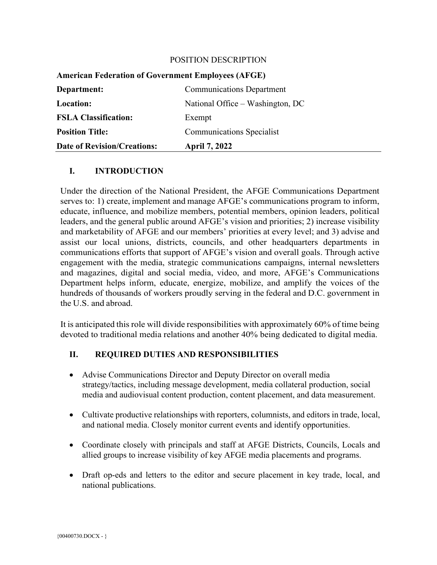#### POSITION DESCRIPTION

| <b>Date of Revision/Creations:</b>                        | <b>April 7, 2022</b>             |
|-----------------------------------------------------------|----------------------------------|
| <b>Position Title:</b>                                    | <b>Communications Specialist</b> |
| <b>FSLA Classification:</b>                               | Exempt                           |
| Location:                                                 | National Office – Washington, DC |
| Department:                                               | <b>Communications Department</b> |
| <b>American Federation of Government Employees (AFGE)</b> |                                  |

# **I. INTRODUCTION**

Under the direction of the National President, the AFGE Communications Department serves to: 1) create, implement and manage AFGE's communications program to inform, educate, influence, and mobilize members, potential members, opinion leaders, political leaders, and the general public around AFGE's vision and priorities; 2) increase visibility and marketability of AFGE and our members' priorities at every level; and 3) advise and assist our local unions, districts, councils, and other headquarters departments in communications efforts that support of AFGE's vision and overall goals. Through active engagement with the media, strategic communications campaigns, internal newsletters and magazines, digital and social media, video, and more, AFGE's Communications Department helps inform, educate, energize, mobilize, and amplify the voices of the hundreds of thousands of workers proudly serving in the federal and D.C. government in the U.S. and abroad.

It is anticipated this role will divide responsibilities with approximately 60% of time being devoted to traditional media relations and another 40% being dedicated to digital media.

## **II. REQUIRED DUTIES AND RESPONSIBILITIES**

- Advise Communications Director and Deputy Director on overall media strategy/tactics, including message development, media collateral production, social media and audiovisual content production, content placement, and data measurement.
- Cultivate productive relationships with reporters, columnists, and editors in trade, local, and national media. Closely monitor current events and identify opportunities.
- Coordinate closely with principals and staff at AFGE Districts, Councils, Locals and allied groups to increase visibility of key AFGE media placements and programs.
- Draft op-eds and letters to the editor and secure placement in key trade, local, and national publications.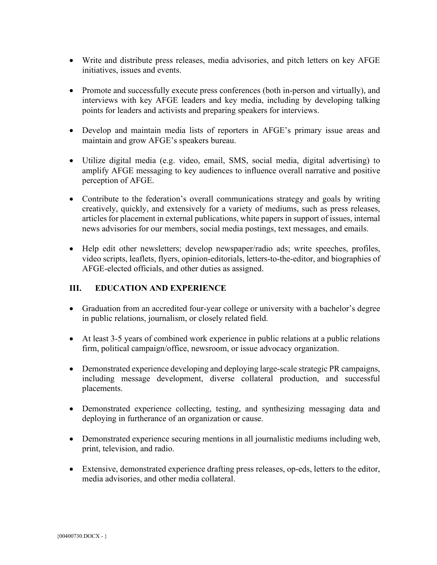- Write and distribute press releases, media advisories, and pitch letters on key AFGE initiatives, issues and events.
- Promote and successfully execute press conferences (both in-person and virtually), and interviews with key AFGE leaders and key media, including by developing talking points for leaders and activists and preparing speakers for interviews.
- Develop and maintain media lists of reporters in AFGE's primary issue areas and maintain and grow AFGE's speakers bureau.
- Utilize digital media (e.g. video, email, SMS, social media, digital advertising) to amplify AFGE messaging to key audiences to influence overall narrative and positive perception of AFGE.
- Contribute to the federation's overall communications strategy and goals by writing creatively, quickly, and extensively for a variety of mediums, such as press releases, articles for placement in external publications, white papers in support of issues, internal news advisories for our members, social media postings, text messages, and emails.
- Help edit other newsletters; develop newspaper/radio ads; write speeches, profiles, video scripts, leaflets, flyers, opinion-editorials, letters-to-the-editor, and biographies of AFGE-elected officials, and other duties as assigned.

# **III. EDUCATION AND EXPERIENCE**

- Graduation from an accredited four-year college or university with a bachelor's degree in public relations, journalism, or closely related field.
- At least 3-5 years of combined work experience in public relations at a public relations firm, political campaign/office, newsroom, or issue advocacy organization.
- Demonstrated experience developing and deploying large-scale strategic PR campaigns, including message development, diverse collateral production, and successful placements.
- Demonstrated experience collecting, testing, and synthesizing messaging data and deploying in furtherance of an organization or cause.
- Demonstrated experience securing mentions in all journalistic mediums including web, print, television, and radio.
- Extensive, demonstrated experience drafting press releases, op-eds, letters to the editor, media advisories, and other media collateral.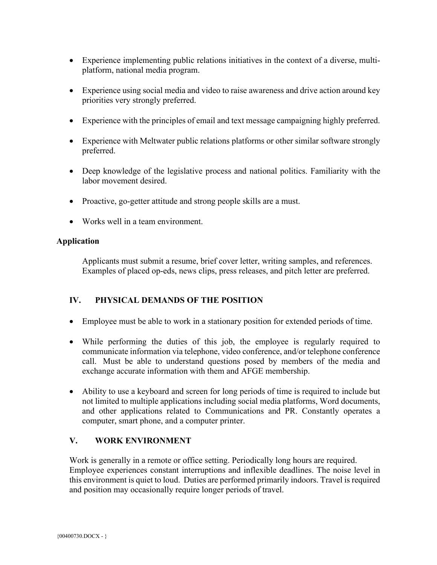- Experience implementing public relations initiatives in the context of a diverse, multiplatform, national media program.
- Experience using social media and video to raise awareness and drive action around key priorities very strongly preferred.
- Experience with the principles of email and text message campaigning highly preferred.
- Experience with Meltwater public relations platforms or other similar software strongly preferred.
- Deep knowledge of the legislative process and national politics. Familiarity with the labor movement desired.
- Proactive, go-getter attitude and strong people skills are a must.
- Works well in a team environment.

#### **Application**

Applicants must submit a resume, brief cover letter, writing samples, and references. Examples of placed op-eds, news clips, press releases, and pitch letter are preferred.

#### **IV. PHYSICAL DEMANDS OF THE POSITION**

- Employee must be able to work in a stationary position for extended periods of time.
- While performing the duties of this job, the employee is regularly required to communicate information via telephone, video conference, and/or telephone conference call. Must be able to understand questions posed by members of the media and exchange accurate information with them and AFGE membership.
- Ability to use a keyboard and screen for long periods of time is required to include but not limited to multiple applications including social media platforms, Word documents, and other applications related to Communications and PR. Constantly operates a computer, smart phone, and a computer printer.

# **V. WORK ENVIRONMENT**

Work is generally in a remote or office setting. Periodically long hours are required. Employee experiences constant interruptions and inflexible deadlines. The noise level in this environment is quiet to loud. Duties are performed primarily indoors. Travel is required and position may occasionally require longer periods of travel.